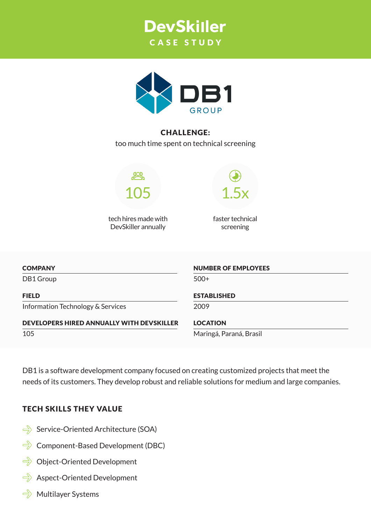



# CHALLENGE:

too much time spent on technical screening



tech hires made with DevSkiller annually

1.5x

faster technical screening

#### **COMPANY**

DB1 Group

FIELD

Information Technology & Services

DEVELOPERS HIRED ANNUALLY WITH DEVSKILLER 105

NUMBER OF EMPLOYEES

500+

#### ESTABLISHED

2009

#### LOCATION

Maringá, Paraná, Brasil

DB1 is a software development company focused on creating customized projects that meet the needs of its customers. They develop robust and reliable solutions for medium and large companies.

### TECH SKILLS THEY VALUE

- $\Rightarrow$  Service-Oriented Architecture (SOA)
- $\Rightarrow$  Component-Based Development (DBC)
- $\Rightarrow$  Object-Oriented Development
- $\Rightarrow$  Aspect-Oriented Development
- $\Rightarrow$  Multilayer Systems